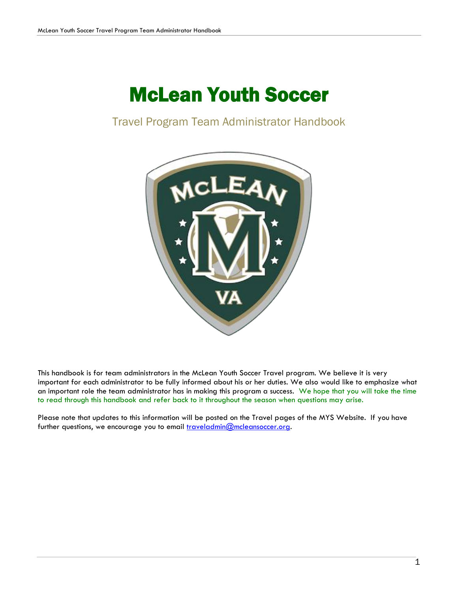# McLean Youth Soccer

# Travel Program Team Administrator Handbook



This handbook is for team administrators in the McLean Youth Soccer Travel program. We believe it is very important for each administrator to be fully informed about his or her duties. We also would like to emphasize what an important role the team administrator has in making this program a success. We hope that you will take the time to read through this handbook and refer back to it throughout the season when questions may arise.

Please note that updates to this information will be posted on the Travel pages of the MYS Website. If you have further questions, we encourage you to email [traveladmin@mcleansoccer.org.](mailto:traveladmin@mcleansoccer.org)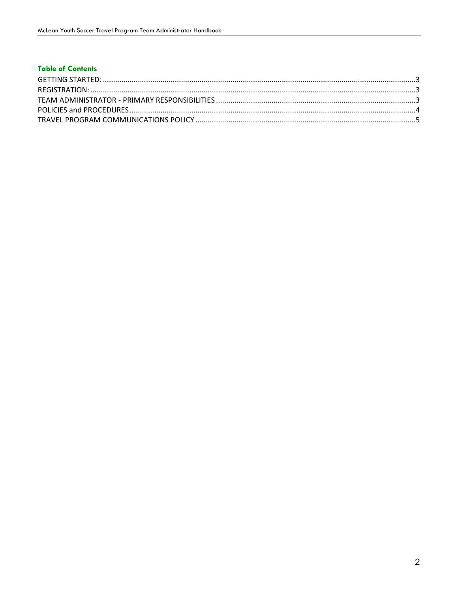## **Table of Contents**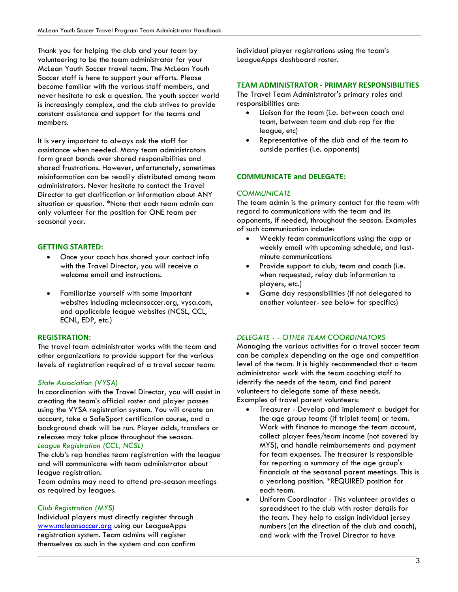Thank you for helping the club and your team by volunteering to be the team administrator for your McLean Youth Soccer travel team. The McLean Youth Soccer staff is here to support your efforts. Please become familiar with the various staff members, and never hesitate to ask a question. The youth soccer world is increasingly complex, and the club strives to provide constant assistance and support for the teams and members.

It is very important to always ask the staff for assistance when needed. Many team administrators form great bonds over shared responsibilities and shared frustrations. However, unfortunately, sometimes misinformation can be readily distributed among team administrators. Never hesitate to contact the Travel Director to get clarification or information about ANY situation or question. \*Note that each team admin can only volunteer for the position for ONE team per seasonal year.

#### **GETTING STARTED:**

- Once your coach has shared your contact info with the Travel Director, you will receive a welcome email and instructions.
- Familiarize yourself with some important websites including mcleansoccer.org, vysa.com, and applicable league websites (NCSL, CCL, ECNL, EDP, etc.)

#### **REGISTRATION:**

The travel team administrator works with the team and other organizations to provide support for the various levels of registration required of a travel soccer team:

#### *State Association (VYSA)*

In coordination with the Travel Director, you will assist in creating the team's official roster and player passes using the VYSA registration system. You will create an account, take a SafeSport certification course, and a background check will be run. Player adds, transfers or releases may take place throughout the season. *League Registration (CCL, NCSL)*

The club's rep handles team registration with the league and will communicate with team administrator about league registration.

Team admins may need to attend pre-season meetings as required by leagues.

#### *Club Registration (MYS)*

Individual players must directly register through [www.mcleansoccer.org](http://www.mcleansoccer.org/) using our LeagueApps registration system. Team admins will register themselves as such in the system and can confirm individual player registrations using the team's LeagueApps dashboard roster.

#### **TEAM ADMINISTRATOR - PRIMARY RESPONSIBILITIES**

The Travel Team Administrator's primary roles and responsibilities are:

- Liaison for the team (i.e. between coach and team, between team and club rep for the league, etc)
- Representative of the club and of the team to outside parties (i.e. opponents)

#### **COMMUNICATE and DELEGATE:**

#### *COMMUNICATE*

The team admin is the primary contact for the team with regard to communications with the team and its opponents, if needed, throughout the season. Examples of such communication include:

- Weekly team communications using the app or weekly email with upcoming schedule, and lastminute communications
- Provide support to club, team and coach (i.e. when requested, relay club information to players, etc.)
- Game day responsibilities (if not delegated to another volunteer- see below for specifics)

#### *DELEGATE - - OTHER TEAM COORDINATORS*

Managing the various activities for a travel soccer team can be complex depending on the age and competition level of the team. It is highly recommended that a team administrator work with the team coaching staff to identify the needs of the team, and find parent volunteers to delegate some of these needs. Examples of travel parent volunteers:

- Treasurer Develop and implement a budget for the age group teams (if triplet team) or team. Work with finance to manage the team account, collect player fees/team income (not covered by MYS), and handle reimbursements and payment for team expenses. The treasurer is responsible for reporting a summary of the age group's financials at the seasonal parent meetings. This is a yearlong position. \*REQUIRED position for each team.
- Uniform Coordinator This volunteer provides a spreadsheet to the club with roster details for the team. They help to assign individual jersey numbers (at the direction of the club and coach), and work with the Travel Director to have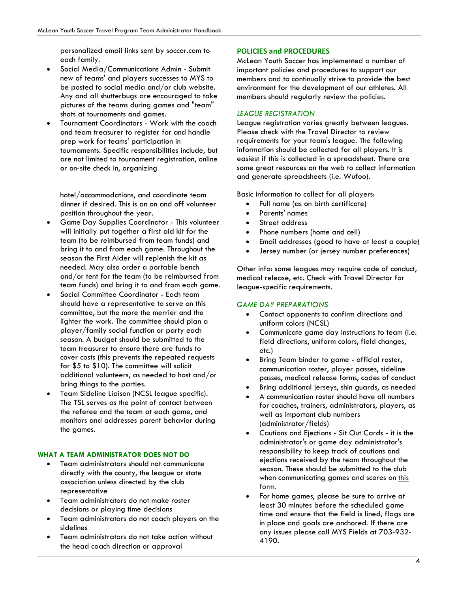personalized email links sent by soccer.com to each family.

- Social Media/Communications Admin Submit new of teams' and players successes to MYS to be posted to social media and/or club website. Any and all shutterbugs are encouraged to take pictures of the teams during games and "team" shots at tournaments and games.
- Tournament Coordinators Work with the coach and team treasurer to register for and handle prep work for teams' participation in tournaments. Specific responsibilities include, but are not limited to tournament registration, online or on-site check in, organizing

hotel/accommodations, and coordinate team dinner if desired. This is an on and off volunteer position throughout the year.

- Game Day Supplies Coordinator This volunteer will initially put together a first aid kit for the team (to be reimbursed from team funds) and bring it to and from each game. Throughout the season the First Aider will replenish the kit as needed. May also order a portable bench and/or tent for the team (to be reimbursed from team funds) and bring it to and from each game.
- Social Committee Coordinator Each team should have a representative to serve on this committee, but the more the merrier and the lighter the work. The committee should plan a player/family social function or party each season. A budget should be submitted to the team treasurer to ensure there are funds to cover costs (this prevents the repeated requests for \$5 to \$10). The committee will solicit additional volunteers, as needed to host and/or bring things to the parties.
- Team Sideline Liaison (NCSL league specific). The TSL serves as the point of contact between the referee and the team at each game, and monitors and addresses parent behavior during the games.

#### **WHAT A TEAM ADMINISTRATOR DOES NOT DO**

- Team administrators should not communicate directly with the county, the league or state association unless directed by the club representative
- Team administrators do not make roster decisions or playing time decisions
- Team administrators do not coach players on the sidelines
- Team administrators do not take action without the head coach direction or approval

### **POLICIES and PROCEDURES**

McLean Youth Soccer has implemented a number of important policies and procedures to support our members and to continually strive to provide the best environment for the development of our athletes. All members should regularly review the [policies.](https://mcleansoccer.org/policies/)

#### *LEAGUE REGISTRATION*

League registration varies greatly between leagues. Please check with the Travel Director to review requirements for your team's league. The following information should be collected for all players. It is easiest if this is collected in a spreadsheet. There are some great resources on the web to collect information and generate spreadsheets (i.e. Wufoo).

Basic information to collect for all players:

- Full name (as on birth certificate)
- Parents' names
- Street address
- Phone numbers (home and cell)
- Email addresses (good to have at least a couple)
- Jersey number (or jersey number preferences)

Other info: some leagues may require code of conduct, medical release, etc. Check with Travel Director for league-specific requirements.

#### *GAME DAY PREPARATIONS*

- Contact opponents to confirm directions and uniform colors (NCSL)
- Communicate game day instructions to team (i.e. field directions, uniform colors, field changes, etc.)
- Bring Team binder to game official roster, communication roster, player passes, sideline passes, medical release forms, codes of conduct
- Bring additional jerseys, shin guards, as needed
- A communication roster should have all numbers for coaches, trainers, administrators, players, as well as important club numbers (administrator/fields)
- Cautions and Ejections Sit Out Cards it is the administrator's or game day administrator's responsibility to keep track of cautions and ejections received by the team throughout the season. These should be submitted to the club when communicating games and scores on [this](https://docs.google.com/forms/d/e/1FAIpQLSfUeWoBs4hWhgnJQSfR-U8fLJtuPsYjRDjV35k8BSwNlRLt7Q/viewform) [form.](https://docs.google.com/forms/d/e/1FAIpQLSfUeWoBs4hWhgnJQSfR-U8fLJtuPsYjRDjV35k8BSwNlRLt7Q/viewform)
- For home games, please be sure to arrive at least 30 minutes before the scheduled game time and ensure that the field is lined, flags are in place and goals are anchored. If there are any issues please call MYS Fields at 703-932- 4190.